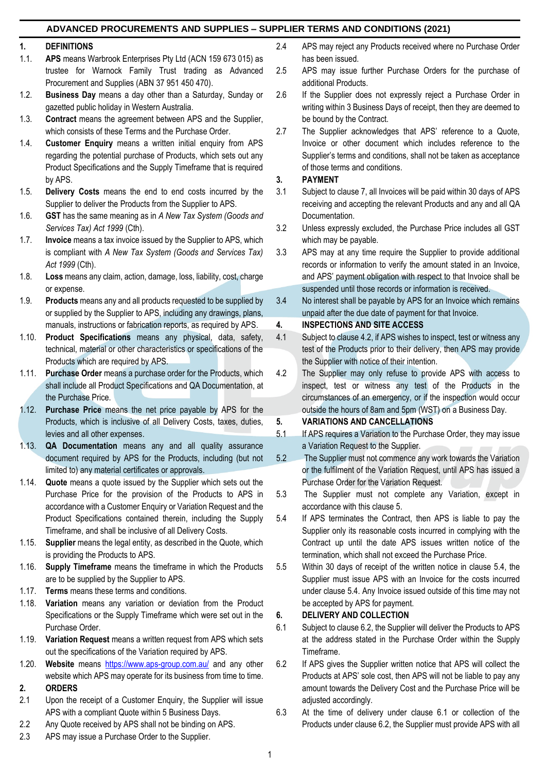### **ADVANCED PROCUREMENTS AND SUPPLIES – SUPPLIER TERMS AND CONDITIONS (2021)**

#### **1. DEFINITIONS**

- 1.1. **APS** means Warbrook Enterprises Pty Ltd (ACN 159 673 015) as trustee for Warnock Family Trust trading as Advanced Procurement and Supplies (ABN 37 951 450 470).
- 1.2. **Business Day** means a day other than a Saturday, Sunday or gazetted public holiday in Western Australia.
- 1.3. **Contract** means the agreement between APS and the Supplier, which consists of these Terms and the Purchase Order.
- 1.4. **Customer Enquiry** means a written initial enquiry from APS regarding the potential purchase of Products, which sets out any Product Specifications and the Supply Timeframe that is required by APS.
- 1.5. **Delivery Costs** means the end to end costs incurred by the Supplier to deliver the Products from the Supplier to APS.
- 1.6. **GST** has the same meaning as in *A New Tax System (Goods and Services Tax) Act 1999* (Cth).
- 1.7. **Invoice** means a tax invoice issued by the Supplier to APS, which is compliant with *A New Tax System (Goods and Services Tax) Act 1999* (Cth).
- 1.8. **Loss** means any claim, action, damage, loss, liability, cost, charge or expense.
- 1.9. **Products** means any and all products requested to be supplied by or supplied by the Supplier to APS, including any drawings, plans, manuals, instructions or fabrication reports, as required by APS.
- 1.10. **Product Specifications** means any physical, data, safety, technical, material or other characteristics or specifications of the Products which are required by APS.
- 1.11. **Purchase Order** means a purchase order for the Products, which shall include all Product Specifications and QA Documentation, at the Purchase Price.
- 1.12. **Purchase Price** means the net price payable by APS for the Products, which is inclusive of all Delivery Costs, taxes, duties, levies and all other expenses.
- 1.13. **QA Documentation** means any and all quality assurance document required by APS for the Products, including (but not limited to) any material certificates or approvals.
- 1.14. **Quote** means a quote issued by the Supplier which sets out the Purchase Price for the provision of the Products to APS in accordance with a Customer Enquiry or Variation Request and the Product Specifications contained therein, including the Supply Timeframe, and shall be inclusive of all Delivery Costs.
- 1.15. **Supplier** means the legal entity, as described in the Quote, which is providing the Products to APS.
- 1.16. **Supply Timeframe** means the timeframe in which the Products are to be supplied by the Supplier to APS.
- 1.17. **Terms** means these terms and conditions.
- 1.18. **Variation** means any variation or deviation from the Product Specifications or the Supply Timeframe which were set out in the Purchase Order.
- 1.19. **Variation Request** means a written request from APS which sets out the specifications of the Variation required by APS.
- 1.20. **Website** means <https://www.aps-group.com.au/> and any other website which APS may operate for its business from time to time. **2. ORDERS**
- 2.1 Upon the receipt of a Customer Enquiry, the Supplier will issue APS with a compliant Quote within 5 Business Days.
- 2.2 Any Quote received by APS shall not be binding on APS.
- 2.3 APS may issue a Purchase Order to the Supplier.
- 2.4 APS may reject any Products received where no Purchase Order has been issued.
- 2.5 APS may issue further Purchase Orders for the purchase of additional Products.
- 2.6 If the Supplier does not expressly reject a Purchase Order in writing within 3 Business Days of receipt, then they are deemed to be bound by the Contract.
- 2.7 The Supplier acknowledges that APS' reference to a Quote, Invoice or other document which includes reference to the Supplier's terms and conditions, shall not be taken as acceptance of those terms and conditions.

#### **3. PAYMENT**

- 3.1 Subject to clause 7, all Invoices will be paid within 30 days of APS receiving and accepting the relevant Products and any and all QA Documentation.
- 3.2 Unless expressly excluded, the Purchase Price includes all GST which may be payable.
- 3.3 APS may at any time require the Supplier to provide additional records or information to verify the amount stated in an Invoice, and APS' payment obligation with respect to that Invoice shall be suspended until those records or information is received.
- 3.4 No interest shall be payable by APS for an Invoice which remains unpaid after the due date of payment for that Invoice.

#### **4. INSPECTIONS AND SITE ACCESS**

- 4.1 Subject to clause 4.2, if APS wishes to inspect, test or witness any test of the Products prior to their delivery, then APS may provide the Supplier with notice of their intention.
- 4.2 The Supplier may only refuse to provide APS with access to inspect, test or witness any test of the Products in the circumstances of an emergency, or if the inspection would occur outside the hours of 8am and 5pm (WST) on a Business Day.

### **5. VARIATIONS AND CANCELLATIONS**

- 5.1 If APS requires a Variation to the Purchase Order, they may issue a Variation Request to the Supplier.
- 5.2 The Supplier must not commence any work towards the Variation or the fulfilment of the Variation Request, until APS has issued a Purchase Order for the Variation Request.
- 5.3 The Supplier must not complete any Variation, except in accordance with this clause 5.
- 5.4 If APS terminates the Contract, then APS is liable to pay the Supplier only its reasonable costs incurred in complying with the Contract up until the date APS issues written notice of the termination, which shall not exceed the Purchase Price.
- 5.5 Within 30 days of receipt of the written notice in clause 5.4, the Supplier must issue APS with an Invoice for the costs incurred under clause 5.4. Any Invoice issued outside of this time may not be accepted by APS for payment.

### **6. DELIVERY AND COLLECTION**

- 6.1 Subject to clause 6.2, the Supplier will deliver the Products to APS at the address stated in the Purchase Order within the Supply Timeframe.
- 6.2 If APS gives the Supplier written notice that APS will collect the Products at APS' sole cost, then APS will not be liable to pay any amount towards the Delivery Cost and the Purchase Price will be adjusted accordingly.
- 6.3 At the time of delivery under clause 6.1 or collection of the Products under clause 6.2, the Supplier must provide APS with all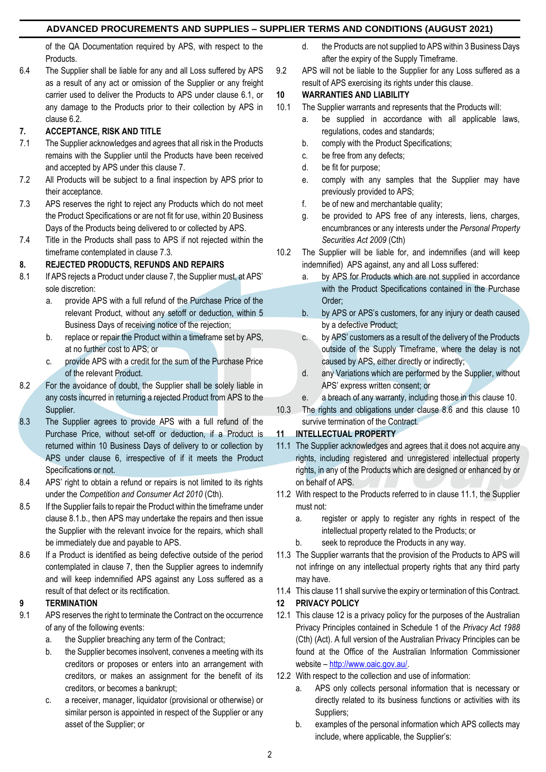## **ADVANCED PROCUREMENTS AND SUPPLIES – SUPPLIER TERMS AND CONDITIONS (AUGUST 2021)**

of the QA Documentation required by APS, with respect to the Products.

6.4 The Supplier shall be liable for any and all Loss suffered by APS as a result of any act or omission of the Supplier or any freight carrier used to deliver the Products to APS under clause 6.1, or any damage to the Products prior to their collection by APS in clause 6.2.

# **7. ACCEPTANCE, RISK AND TITLE**

- 7.1 The Supplier acknowledges and agrees that all risk in the Products remains with the Supplier until the Products have been received and accepted by APS under this clause 7.
- 7.2 All Products will be subject to a final inspection by APS prior to their acceptance.
- 7.3 APS reserves the right to reject any Products which do not meet the Product Specifications or are not fit for use, within 20 Business Days of the Products being delivered to or collected by APS.
- 7.4 Title in the Products shall pass to APS if not rejected within the timeframe contemplated in clause 7.3.

# **8. REJECTED PRODUCTS, REFUNDS AND REPAIRS**

- 8.1 If APS rejects a Product under clause 7, the Supplier must, at APS' sole discretion:
	- a. provide APS with a full refund of the Purchase Price of the relevant Product, without any setoff or deduction, within 5 Business Days of receiving notice of the rejection;
	- b. replace or repair the Product within a timeframe set by APS, at no further cost to APS; or
	- c. provide APS with a credit for the sum of the Purchase Price of the relevant Product.
- 8.2 For the avoidance of doubt, the Supplier shall be solely liable in any costs incurred in returning a rejected Product from APS to the Supplier.
- 8.3 The Supplier agrees to provide APS with a full refund of the Purchase Price, without set-off or deduction, if a Product is returned within 10 Business Days of delivery to or collection by APS under clause 6, irrespective of if it meets the Product Specifications or not.
- 8.4 APS' right to obtain a refund or repairs is not limited to its rights under the *Competition and Consumer Act 2010* (Cth).
- 8.5 If the Supplier fails to repair the Product within the timeframe under clause 8.1.b., then APS may undertake the repairs and then issue the Supplier with the relevant invoice for the repairs, which shall be immediately due and payable to APS.
- 8.6 If a Product is identified as being defective outside of the period contemplated in clause 7, then the Supplier agrees to indemnify and will keep indemnified APS against any Loss suffered as a result of that defect or its rectification.

## **9 TERMINATION**

- 9.1 APS reserves the right to terminate the Contract on the occurrence of any of the following events:
	- a. the Supplier breaching any term of the Contract;
	- b. the Supplier becomes insolvent, convenes a meeting with its creditors or proposes or enters into an arrangement with creditors, or makes an assignment for the benefit of its creditors, or becomes a bankrupt;
	- c. a receiver, manager, liquidator (provisional or otherwise) or similar person is appointed in respect of the Supplier or any asset of the Supplier; or
- d. the Products are not supplied to APS within 3 Business Days after the expiry of the Supply Timeframe.
- 9.2 APS will not be liable to the Supplier for any Loss suffered as a result of APS exercising its rights under this clause.

# **10 WARRANTIES AND LIABILITY**

- 10.1 The Supplier warrants and represents that the Products will:
	- a. be supplied in accordance with all applicable laws, regulations, codes and standards;
	- b. comply with the Product Specifications;
	- c. be free from any defects;
	- d. be fit for purpose;
	- e. comply with any samples that the Supplier may have previously provided to APS;
	- f. be of new and merchantable quality;
	- g. be provided to APS free of any interests, liens, charges, encumbrances or any interests under the *Personal Property Securities Act 2009* (Cth)
- 10.2 The Supplier will be liable for, and indemnifies (and will keep indemnified) APS against, any and all Loss suffered:
	- a. by APS for Products which are not supplied in accordance with the Product Specifications contained in the Purchase Order;
	- b. by APS or APS's customers, for any injury or death caused by a defective Product;
	- c. by APS' customers as a result of the delivery of the Products outside of the Supply Timeframe, where the delay is not caused by APS, either directly or indirectly;
	- d. any Variations which are performed by the Supplier, without APS' express written consent; or
	- e. a breach of any warranty, including those in this clause 10.
- 10.3 The rights and obligations under clause 8.6 and this clause 10 survive termination of the Contract.

# **11 INTELLECTUAL PROPERTY**

- 11.1 The Supplier acknowledges and agrees that it does not acquire any rights, including registered and unregistered intellectual property rights, in any of the Products which are designed or enhanced by or on behalf of APS.
- 11.2 With respect to the Products referred to in clause 11.1, the Supplier must not:
	- a. register or apply to register any rights in respect of the intellectual property related to the Products; or
	- b. seek to reproduce the Products in any way.
- 11.3 The Supplier warrants that the provision of the Products to APS will not infringe on any intellectual property rights that any third party may have.
- 11.4 This clause 11 shall survive the expiry or termination of this Contract.

## **12 PRIVACY POLICY**

- 12.1 This clause 12 is a privacy policy for the purposes of the Australian Privacy Principles contained in Schedule 1 of the *Privacy Act 1988* (Cth) (Act). A full version of the Australian Privacy Principles can be found at the Office of the Australian Information Commissioner website – [http://www.oaic.gov.au/.](http://www.oaic.gov.au/)
- 12.2 With respect to the collection and use of information:
	- a. APS only collects personal information that is necessary or directly related to its business functions or activities with its Suppliers;
	- b. examples of the personal information which APS collects may include, where applicable, the Supplier's: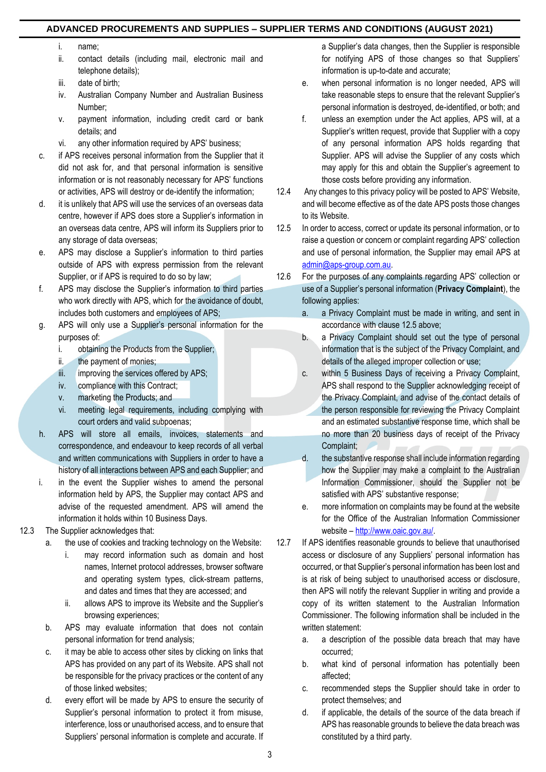### **ADVANCED PROCUREMENTS AND SUPPLIES – SUPPLIER TERMS AND CONDITIONS (AUGUST 2021)**

- i. name;
- ii. contact details (including mail, electronic mail and telephone details);
- iii. date of birth;
- iv. Australian Company Number and Australian Business Number;
- v. payment information, including credit card or bank details; and
- vi. any other information required by APS' business;
- c. if APS receives personal information from the Supplier that it did not ask for, and that personal information is sensitive information or is not reasonably necessary for APS' functions or activities, APS will destroy or de-identify the information;
- d. it is unlikely that APS will use the services of an overseas data centre, however if APS does store a Supplier's information in an overseas data centre, APS will inform its Suppliers prior to any storage of data overseas;
- e. APS may disclose a Supplier's information to third parties outside of APS with express permission from the relevant Supplier, or if APS is required to do so by law;
- f. APS may disclose the Supplier's information to third parties who work directly with APS, which for the avoidance of doubt, includes both customers and employees of APS;
- g. APS will only use a Supplier's personal information for the purposes of:
	- i. obtaining the Products from the Supplier;
	- ii. the payment of monies;
	- iii. improving the services offered by APS;
	- iv. compliance with this Contract;
	- v. marketing the Products; and
	- vi. meeting legal requirements, including complying with court orders and valid subpoenas;
- h. APS will store all emails, invoices, statements and correspondence, and endeavour to keep records of all verbal and written communications with Suppliers in order to have a history of all interactions between APS and each Supplier; and
- i. in the event the Supplier wishes to amend the personal information held by APS, the Supplier may contact APS and advise of the requested amendment. APS will amend the information it holds within 10 Business Days.
- 12.3 The Supplier acknowledges that:
	- a. the use of cookies and tracking technology on the Website:
		- i. may record information such as domain and host names, Internet protocol addresses, browser software and operating system types, click-stream patterns, and dates and times that they are accessed; and
		- ii. allows APS to improve its Website and the Supplier's browsing experiences;
	- b. APS may evaluate information that does not contain personal information for trend analysis;
	- c. it may be able to access other sites by clicking on links that APS has provided on any part of its Website. APS shall not be responsible for the privacy practices or the content of any of those linked websites;
	- d. every effort will be made by APS to ensure the security of Supplier's personal information to protect it from misuse, interference, loss or unauthorised access, and to ensure that Suppliers' personal information is complete and accurate. If

a Supplier's data changes, then the Supplier is responsible for notifying APS of those changes so that Suppliers' information is up-to-date and accurate;

- e. when personal information is no longer needed, APS will take reasonable steps to ensure that the relevant Supplier's personal information is destroyed, de-identified, or both; and
- f. unless an exemption under the Act applies, APS will, at a Supplier's written request, provide that Supplier with a copy of any personal information APS holds regarding that Supplier. APS will advise the Supplier of any costs which may apply for this and obtain the Supplier's agreement to those costs before providing any information.
- 12.4 Any changes to this privacy policy will be posted to APS' Website, and will become effective as of the date APS posts those changes to its Website.
- 12.5 In order to access, correct or update its personal information, or to raise a question or concern or complaint regarding APS' collection and use of personal information, the Supplier may email APS at [admin@aps-group.com.au.](mailto:admin@aps-group.com.au)
- 12.6 For the purposes of any complaints regarding APS' collection or use of a Supplier's personal information (**Privacy Complaint**), the following applies:
	- a. a Privacy Complaint must be made in writing, and sent in accordance with clause 12.5 above;
	- b. a Privacy Complaint should set out the type of personal information that is the subject of the Privacy Complaint, and details of the alleged improper collection or use;
	- c. within 5 Business Days of receiving a Privacy Complaint, APS shall respond to the Supplier acknowledging receipt of the Privacy Complaint, and advise of the contact details of the person responsible for reviewing the Privacy Complaint and an estimated substantive response time, which shall be no more than 20 business days of receipt of the Privacy Complaint;
	- d. the substantive response shall include information regarding how the Supplier may make a complaint to the Australian Information Commissioner, should the Supplier not be satisfied with APS' substantive response;
	- e. more information on complaints may be found at the website for the Office of the Australian Information Commissioner website – [http://www.oaic.gov.au/.](http://www.oaic.gov.au/)
- 12.7 If APS identifies reasonable grounds to believe that unauthorised access or disclosure of any Suppliers' personal information has occurred, or that Supplier's personal information has been lost and is at risk of being subject to unauthorised access or disclosure, then APS will notify the relevant Supplier in writing and provide a copy of its written statement to the Australian Information Commissioner. The following information shall be included in the written statement:
	- a. a description of the possible data breach that may have occurred;
	- b. what kind of personal information has potentially been affected;
	- c. recommended steps the Supplier should take in order to protect themselves; and
	- d. if applicable, the details of the source of the data breach if APS has reasonable grounds to believe the data breach was constituted by a third party.